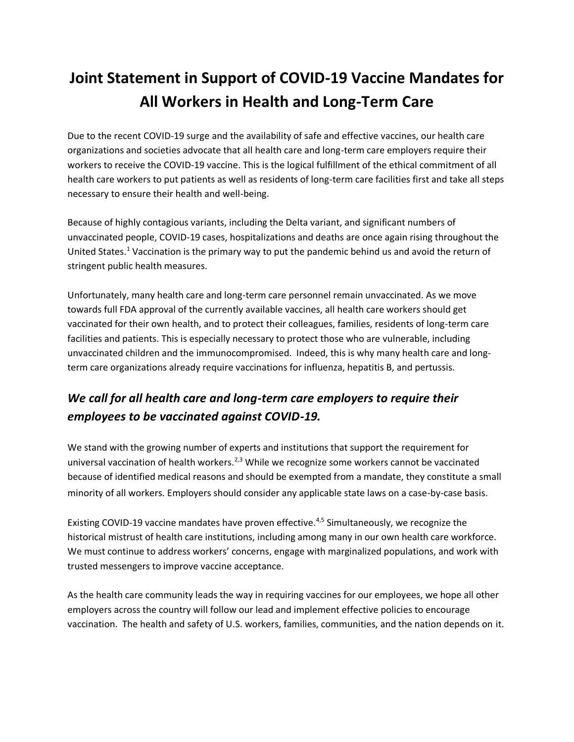## **Joint Statement in Support of COVID-19 Vaccine Mandates for All Workers in Health and Long-Term Care**

Due to the recent COVID-19 surge and the availability of safe and effective vaccines, our health care organizations and societies advocate that all health care and long-term care employers require their workers to receive the COVID-19 vaccine. This is the logical fulfillment of the ethical commitment of all health care workers to put patients as well as residents of long-term care facilities first and take all steps necessary to ensure their health and well-being.

Because of highly contagious variants, including the Delta variant, and significant numbers of unvaccinated people, COVID-19 cases, hospitalizations and deaths are once again rising throughout the United States.<sup>1</sup> Vaccination is the primary way to put the pandemic behind us and avoid the return of stringent public health measures.

Unfortunately, many health care and long-term care personnel remain unvaccinated. As we move towards full FDA approval of the currently available vaccines, all health care workers should get vaccinated for their own health, and to protect their colleagues, families, residents of long-term care facilities and patients. This is especially necessary to protect those who are vulnerable, including unvaccinated children and the immunocompromised. Indeed, this is why many health care and longterm care organizations already require vaccinations for influenza, hepatitis B, and pertussis.

## *We call for all health care and long-term care employers to require their employees to be vaccinated against COVID-19.*

We stand with the growing number of experts and institutions that support the requirement for universal vaccination of health workers.<sup>2,3</sup> While we recognize some workers cannot be vaccinated because of identified medical reasons and should be exempted from a mandate, they constitute a small minority of all workers. Employers should consider any applicable state laws on a case-by-case basis.

Existing COVID-19 vaccine mandates have proven effective.<sup>4,5</sup> Simultaneously, we recognize the historical mistrust of health care institutions, including among many in our own health care workforce. We must continue to address workers' concerns, engage with marginalized populations, and work with trusted messengers to improve vaccine acceptance.

As the health care community leads the way in requiring vaccines for our employees, we hope all other employers across the country will follow our lead and implement effective policies to encourage vaccination. The health and safety of U.S. workers, families, communities, and the nation depends on it.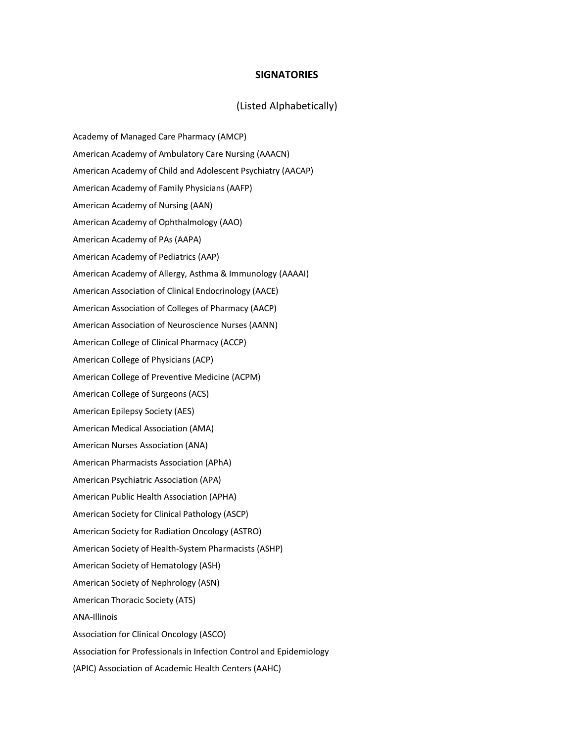## **SIGNATORIES**

## (Listed Alphabetically)

Academy of Managed Care Pharmacy (AMCP) American Academy of Ambulatory Care Nursing (AAACN) American Academy of Child and Adolescent Psychiatry (AACAP) American Academy of Family Physicians (AAFP) American Academy of Nursing (AAN) American Academy of Ophthalmology (AAO) American Academy of PAs (AAPA) American Academy of Pediatrics (AAP) American Academy of Allergy, Asthma & Immunology (AAAAI) American Association of Clinical Endocrinology (AACE) American Association of Colleges of Pharmacy (AACP) American Association of Neuroscience Nurses (AANN) American College of Clinical Pharmacy (ACCP) American College of Physicians (ACP) American College of Preventive Medicine (ACPM) American College of Surgeons (ACS) American Epilepsy Society (AES) American Medical Association (AMA) American Nurses Association (ANA) American Pharmacists Association (APhA) American Psychiatric Association (APA) American Public Health Association (APHA) American Society for Clinical Pathology (ASCP) American Society for Radiation Oncology (ASTRO) American Society of Health-System Pharmacists (ASHP) American Society of Hematology (ASH) American Society of Nephrology (ASN) American Thoracic Society (ATS) ANA-Illinois Association for Clinical Oncology (ASCO) Association for Professionals in Infection Control and Epidemiology (APIC) Association of Academic Health Centers (AAHC)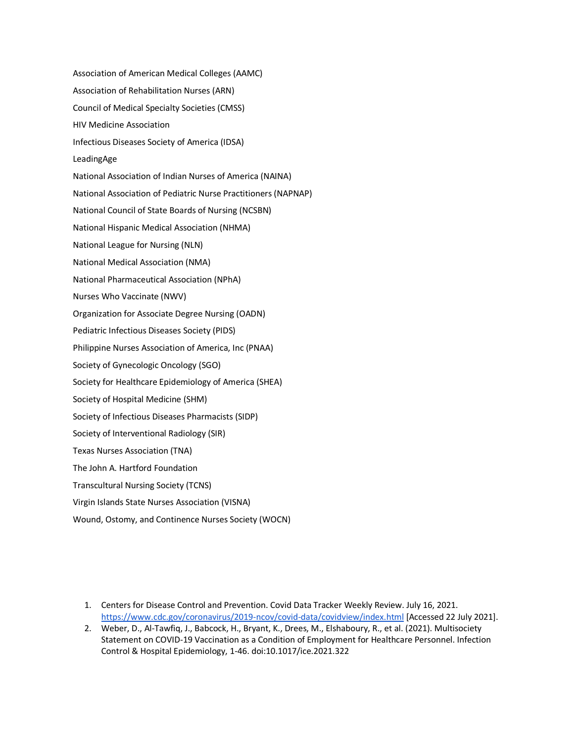Association of American Medical Colleges (AAMC) Association of Rehabilitation Nurses (ARN) Council of Medical Specialty Societies (CMSS) HIV Medicine Association Infectious Diseases Society of America (IDSA) LeadingAge National Association of Indian Nurses of America (NAINA) National Association of Pediatric Nurse Practitioners (NAPNAP) National Council of State Boards of Nursing (NCSBN) National Hispanic Medical Association (NHMA) National League for Nursing (NLN) National Medical Association (NMA) National Pharmaceutical Association (NPhA) Nurses Who Vaccinate (NWV) Organization for Associate Degree Nursing (OADN) Pediatric Infectious Diseases Society (PIDS) Philippine Nurses Association of America, Inc (PNAA) Society of Gynecologic Oncology (SGO) Society for Healthcare Epidemiology of America (SHEA) Society of Hospital Medicine (SHM) Society of Infectious Diseases Pharmacists (SIDP) Society of Interventional Radiology (SIR) Texas Nurses Association (TNA) The John A. Hartford Foundation Transcultural Nursing Society (TCNS) Virgin Islands State Nurses Association (VISNA) Wound, Ostomy, and Continence Nurses Society (WOCN)

1. Centers for Disease Control and Prevention. Covid Data Tracker Weekly Review. July 16, 2021. <https://www.cdc.gov/coronavirus/2019-ncov/covid-data/covidview/index.html> [Accessed 22 July 2021].

<sup>2.</sup> Weber, D., Al-Tawfiq, J., Babcock, H., Bryant, K., Drees, M., Elshaboury, R., et al. (2021). Multisociety Statement on COVID-19 Vaccination as a Condition of Employment for Healthcare Personnel. Infection Control & Hospital Epidemiology, 1-46. doi:10.1017/ice.2021.322